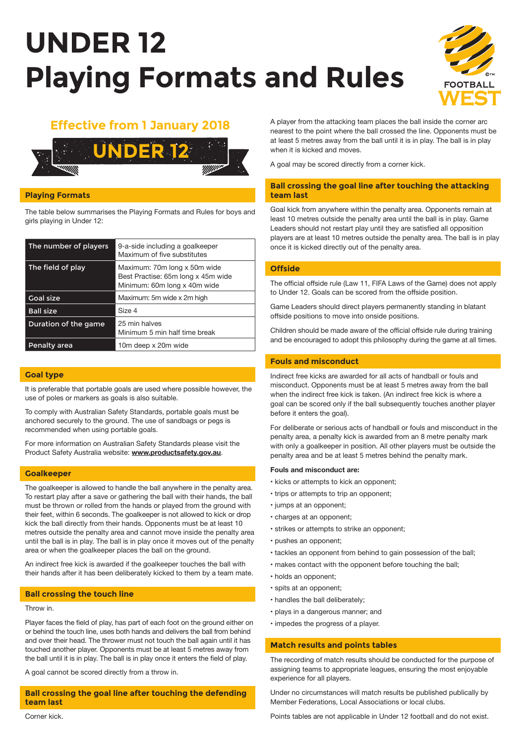# **UNDER 12 Playing Formats and Rules**





# **Playing Formats**

The table below summarises the Playing Formats and Rules for boys and girls playing in Under 12:

| The number of players | 9-a-side including a goalkeeper<br>Maximum of five substitutes                                     |
|-----------------------|----------------------------------------------------------------------------------------------------|
| The field of play     | Maximum: 70m long x 50m wide<br>Best Practise: 65m long x 45m wide<br>Minimum: 60m long x 40m wide |
| <b>Goal size</b>      | Maximum: 5m wide x 2m high                                                                         |
| <b>Ball size</b>      | Size 4                                                                                             |
| Duration of the game  | 25 min halves<br>Minimum 5 min half time break                                                     |
| Penalty area          | 10m deep x 20m wide                                                                                |

# **Goal type**

It is preferable that portable goals are used where possible however, the use of poles or markers as goals is also suitable.

To comply with Australian Safety Standards, portable goals must be anchored securely to the ground. The use of sandbags or pegs is recommended when using portable goals.

For more information on Australian Safety Standards please visit the Product Safety Australia website: **www.productsafety.gov.au**.

## **Goalkeeper**

The goalkeeper is allowed to handle the ball anywhere in the penalty area. To restart play after a save or gathering the ball with their hands, the ball must be thrown or rolled from the hands or played from the ground with their feet, within 6 seconds. The goalkeeper is not allowed to kick or drop kick the ball directly from their hands. Opponents must be at least 10 metres outside the penalty area and cannot move inside the penalty area until the ball is in play. The ball is in play once it moves out of the penalty area or when the goalkeeper places the ball on the ground.

An indirect free kick is awarded if the goalkeeper touches the ball with their hands after it has been deliberately kicked to them by a team mate.

## **Ball crossing the touch line**

### Throw in.

Player faces the field of play, has part of each foot on the ground either on or behind the touch line, uses both hands and delivers the ball from behind and over their head. The thrower must not touch the ball again until it has touched another player. Opponents must be at least 5 metres away from the ball until it is in play. The ball is in play once it enters the field of play.

A goal cannot be scored directly from a throw in.

# **Ball crossing the goal line after touching the defending team last**

**Effective from 1 January 2018** A player from the attacking team places the ball inside the corner arc nearest to the point where the ball crossed the line. Opponents must be at least 5 metres away from the ball until it is in play. The ball is in play when it is kicked and moves.

A goal may be scored directly from a corner kick.

# **Ball crossing the goal line after touching the attacking team last**

Goal kick from anywhere within the penalty area. Opponents remain at least 10 metres outside the penalty area until the ball is in play. Game Leaders should not restart play until they are satisfied all opposition players are at least 10 metres outside the penalty area. The ball is in play once it is kicked directly out of the penalty area.

# **Offside**

The official offside rule (Law 11, FIFA Laws of the Game) does not apply to Under 12. Goals can be scored from the offside position.

Game Leaders should direct players permanently standing in blatant offside positions to move into onside positions.

Children should be made aware of the official offside rule during training and be encouraged to adopt this philosophy during the game at all times.

# **Fouls and misconduct**

Indirect free kicks are awarded for all acts of handball or fouls and misconduct. Opponents must be at least 5 metres away from the ball when the indirect free kick is taken. (An indirect free kick is where a goal can be scored only if the ball subsequently touches another player before it enters the goal).

For deliberate or serious acts of handball or fouls and misconduct in the penalty area, a penalty kick is awarded from an 8 metre penalty mark with only a goalkeeper in position. All other players must be outside the penalty area and be at least 5 metres behind the penalty mark.

### **Fouls and misconduct are:**

- kicks or attempts to kick an opponent;
- trips or attempts to trip an opponent;
- jumps at an opponent;
- charges at an opponent;
- strikes or attempts to strike an opponent;
- pushes an opponent;
- tackles an opponent from behind to gain possession of the ball;
- makes contact with the opponent before touching the ball;
- holds an opponent;
- spits at an opponent;
- handles the ball deliberately;
- plays in a dangerous manner; and
- impedes the progress of a player.

# **Match results and points tables**

The recording of match results should be conducted for the purpose of assigning teams to appropriate leagues, ensuring the most enjoyable experience for all players.

Under no circumstances will match results be published publically by Member Federations, Local Associations or local clubs.

Points tables are not applicable in Under 12 football and do not exist.

Corner kick.